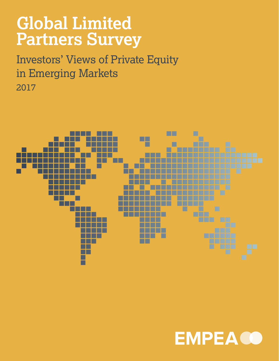## **Global Limited Partners Survey**

Investors' Views of Private Equity in Emerging Markets 2017



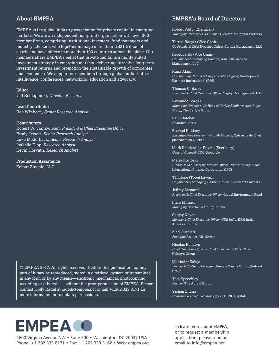#### **About EMPEA**

EMPEA is the global industry association for private capital in emerging markets. We are an independent non-profit organization with over 300 member firms, comprising institutional investors, fund managers and industry advisors, who together manage more than US\$1 trillion of assets and have offices in more than 100 countries across the globe. Our members share EMPEA's belief that private capital is a highly suited investment strategy in emerging markets, delivering attractive long-term investment returns and promoting the sustainable growth of companies and economies. We support our members through global authoritative intelligence, conferences, networking, education and advocacy.

**Editor** Jeff Schlapinski, *Director, Research*

**Lead Contributor** Rae Winborn, *Senior Research Analyst*

#### **Contributors**

Robert W. van Zwieten, *President & Chief Executive Officer* Brady Jewett, *Senior Research Analyst* Luke Moderhack, *Senior Research Analyst* Isabelle Diop, *Research Analyst* Kevin Horvath, *Research Analyst*

**Production Assistance** Zelnar Zingale, LLC

© EMPEA 2017. All rights reserved. Neither this publication nor any part of it may be reproduced, stored in a retrieval system or transmitted in any form or by any means—electronic, mechanical, photocopying, recording or otherwise—without the prior permission of EMPEA. Please contact Holly Radel at radelh@empea.net or call +1.202.333.8171 for more information or to obtain permissions.

#### **EMPEA's Board of Directors**

Robert Petty (Chairman) *Managing Partner & Co-Founder,* Clearwater Capital Partners

Teresa Barger (Vice Chair) *Co-Founder & Chief Executive Officer,* Cartica Management, LLC

Rebecca Xu (Vice Chair) *Co-Founder & Managing Director,* Asia Alternatives Management LLC

Runa Alam *Co-Founding Partner & Chief Executive Officer,* Development Partners International (DPI)

Thomas C. Barry *President & Chief Executive Officer,* Zephyr Management, L.P.

Fernando Borges *Managing Director & Co-Head of Carlyle South America Buyout Group,* The Carlyle Group

Paul Fletcher *Chairman,* Actis

Rashad Kaldany *Executive Vice President, Growth Markets,* Caisse de dépôt et placement du Québec

Mark Kenderdine-Davies (Secretary) *General Counsel,* CDC Group plc

Maria Kozloski *Global Head & Chief Investment Officer, Private Equity Funds,*  International Finance Corporation (IFC)

Temitope (Tope) Lawani *Co-founder & Managing Partner,* Helios Investment Partners

Jeffrey Leonard *President & Chief Executive Officer,* Global Environment Fund

Piero Minardi *Managing Director,* Warburg Pincus

Sanjay Nayar *Member & Chief Executive Officer, KKR India,* KKR India Advisors Pvt. Ltd.

Ziad Oueslati *Founding Partner,* AfricInvest

Nicolas Rohatyn *Chief Executive Officer & Chief Investment Officer,* The Rohatyn Group

Maninder Saluja *Partner & Co-Head, Emerging Markets Private Equity,* Quilvest Group

Tom Speechley *Partner,* The Abraaj Group

Yichen Zhang *Chairman & Chief Executive Officer,* CITIC Capital



2600 Virginia Avenue NW • Suite 500 • Washington, DC 20037 USA Phone: +1.202.333.8171 • Fax: +1.202.333.3162 • Web: empea.org To learn more about EMPEA, or to request a membership application, please send an email to info@empea.net.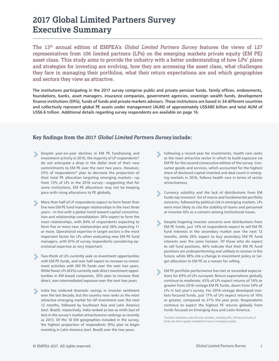### **2017 Global Limited Partners Survey Executive Summary**

The 13th annual edition of EMPEA's *Global Limited Partners Survey* features the views of 127 representatives from 106 limited partners (LPs) on the emerging markets private equity (EM PE) asset class. This study aims to provide the industry with a better understanding of how LPs' plans and strategies for investing are evolving, how they are accessing the asset class, what challenges they face in managing their portfolios, what their return expectations are and which geographies and sectors they view as attractive.

The institutions participating in the 2017 survey comprise public and private pension funds, family offices, endowments, foundations, banks, asset managers, insurance companies, government agencies, sovereign wealth funds, development finance institutions (DFIs), funds of funds and private markets advisors. These institutions are based in 34 different countries and collectively represent global PE assets under management (AUM) of approximately US\$480 billion and total AUM of US\$6.6 trillion. Additional details regarding survey respondents are available on page 16.

#### **Key findings from the 2017** *Global Limited Partners Survey* **include:**

- **EXECUTE:** Despite year-on-year declines in EM PE fundraising and investment activity in 2016, the majority of LP respondents\* investment activity in 2016, the majority of LP respondents\* do not anticipate a drop in the dollar level of their new commitments to EM PE over the next two years. However, 25% of respondents\* plan to decrease the proportion of their total PE allocation targeting emerging markets—up from 13% of LPs in the 2016 survey—suggesting that for some institutions, EM PE allocations may not be keeping pace with rising allocations to PE globally.
- More than half of LP respondents expect to form fewer than<br>five new EM PE fund manager relationships in the next three five new EM PE fund manager relationships in the next three years—in line with a global trend toward capital concentration and relationship consolidation. DFIs expect to form the most relationships, with 84% of respondents expecting to form five or more new relationships and 26% expecting 11 or more. Operational expertise in target sectors is the most important factor for LPs when evaluating new EM PE fund managers, with 61% of survey respondents considering operational expertise as very important.
- Two-thirds of LPs currently seek co-investment opportunities with EM PE funds, and over half expect to increase co-investment activities with EM PE funds over the next two years. While fewer LPs (43%) currently seek direct investment opportunities in EM-based companies, 35% plan to increase their direct, non-intermediated exposure over the next two years.
- India has endured dramatic swings in investor sentiment over the last decade, but the country now ranks as the most attractive emerging market for GP investment over the next 12 months, followed by Southeast Asia and Latin America (excl. Brazil), respectively. India ranked as low as ninth (out of ten) in the survey's market attractiveness rankings as recently as 2013. Of the 10 EM geographies included in the survey, the highest proportion of respondents (9%) plan to *begin* investing in Latin America (excl. Brazil) over the two years. ▻
- **Example 3** Following a record year for investments, health care ranks<br>as the most attractive sector in which to huild exposure via as the most attractive sector in which to build exposure via EM PE for the second consecutive edition of the survey. Consumer goods and services, which accounted for the highest share of disclosed capital invested and deal count in emerging markets in 2016, follows health care in terms of sector attractiveness.
- **EXECUTE CURRENCE CONTROVER CONTRACT CONTRACT CONTRACT CONTRACT CONTRACT CONTRACT CONTRACT CONTRACT CONTRACT CONTRACT CONTRACT CONTRACT CONTRACT CONTRACT CONTRACT CONTRACT CONTRACT CONTRACT CONTRACT CONTRACT CONTRACT CONTR** funds top investors' list of macro and fundamental portfolio concerns, followed by political risk in emerging markets. LPs were most likely to cite the stability of teams and personnel at investee GPs as a concern among institutional issues.
- Despite lingering investor concerns over distributions from EM PE funds, just 14% of respondents expect to sell EM PE fund interests in the secondary market over the next 12 months, while 26% expect to buy secondary EM PE fund interests over the same horizon. Of those who do expect to sell fund positions, 46% indicate that their EM PE fund positions are underperforming and unlikely to recover in the future, while 38% cite a change in investment policy or target allocation to EM PE as a reason for selling. ▻
- EM PE portfolio performance has met or exceeded expectations for 69% of LPs surveyed. Return expectations globally continue to moderate: 43% of LPs expect returns of 16% or greater from 2016-vintage EM PE funds, down from 54% of LPs in last year's survey. For 2016-vintage developed markets-focused funds, just 17% of LPs expect returns of 16% or greater, compared to 27% the year prior. Respondents continue to expect the highest PE returns globally from funds focused on Emerging Asia and Latin America. ▻

\*Excludes institutions with EM-only mandates, including DFIs, EM-focused funds of funds and others legally mandated to invest in emerging markets.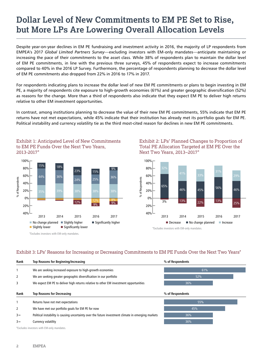## **Dollar Level of New Commitments to EM PE Set to Rise, but More LPs Are Lowering Overall Allocation Levels**

Despite year-on-year declines in EM PE fundraising and investment activity in 2016, the majority of LP respondents from EMPEA's 2017 *Global Limited Partners Survey*—excluding investors with EM-only mandates—anticipate maintaining or increasing the pace of their commitments to the asset class. While 38% of respondents plan to maintain the dollar level of EM PE commitments, in line with the previous three surveys, 45% of respondents expect to increase commitments compared to 40% in the 2016 LP Survey. Furthermore, the percentage of respondents planning to decrease the dollar level of EM PE commitments also dropped from 22% in 2016 to 17% in 2017.

For respondents indicating plans to increase the dollar level of new EM PE commitments or plans to begin investing in EM PE, a majority of respondents cite exposure to high-growth economies (61%) and greater geographic diversification (52%) as reasons for the change. More than a third of respondents also indicate that they expect EM PE to deliver high returns relative to other EM investment opportunities.

In contrast, among institutions planning to decrease the value of their new EM PE commitments, 55% indicate that EM PE returns have not met expectations, while 45% indicate that their institution has already met its portfolio goals for EM PE. Political instability and currency volatility tie as the third most-cited reason for declines in new EM PE commitments.



Exhibit 1: Anticipated Level of New Commitments to EM PE Funds Over the Next Two Years, 2013-2017\*



\*Excludes investors with EM-only mandates.





\*Excludes investors with EM-only mandates.

#### Exhibit 3: LPs' Reasons for Increasing or Decreasing Commitments to EM PE Funds Over the Next Two Years\*

| Rank                                      | Top Reasons for Beginning/Increasing                                                                | % of Respondents |  |  |  |  |  |  |  |
|-------------------------------------------|-----------------------------------------------------------------------------------------------------|------------------|--|--|--|--|--|--|--|
|                                           | We are seeking increased exposure to high-growth economies                                          | 61%              |  |  |  |  |  |  |  |
| 2                                         | We are seeking greater geographic diversification in our portfolio                                  | 52%              |  |  |  |  |  |  |  |
| 3                                         | We expect EM PE to deliver high returns relative to other EM investment opportunities               | 36%              |  |  |  |  |  |  |  |
| Rank                                      | <b>Top Reasons for Decreasing</b>                                                                   | % of Respondents |  |  |  |  |  |  |  |
|                                           | Returns have not met expectations                                                                   | 55%              |  |  |  |  |  |  |  |
| 2                                         | We have met our portfolio goals for EM PE for now                                                   | 45%              |  |  |  |  |  |  |  |
| $3 =$                                     | Political instability is causing uncertainty over the future investment climate in emerging markets | 36%              |  |  |  |  |  |  |  |
| $3 =$                                     | Currency volatility                                                                                 | 36%              |  |  |  |  |  |  |  |
| *Excludes investors with EM-only mandates |                                                                                                     |                  |  |  |  |  |  |  |  |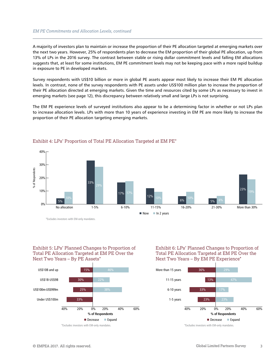#### *EM PE Commitments and Allocation Levels, continued*

A majority of investors plan to maintain or increase the proportion of their PE allocation targeted at emerging markets over the next two years. However, 25% of respondents plan to decrease the EM proportion of their global PE allocation, up from 13% of LPs in the 2016 survey. The contrast between stable or rising dollar commitment levels and falling EM allocations suggests that, at least for some institutions, EM PE commitment levels may not be keeping pace with a more rapid buildup in exposure to PE in developed markets.

Survey respondents with US\$10 billion or more in global PE assets appear most likely to increase their EM PE allocation levels. In contrast, none of the survey respondents with PE assets under US\$100 million plan to increase the proportion of their PE allocation directed at emerging markets. Given the time and resources cited by some LPs as necessary to invest in emerging markets (see page 12), this discrepancy between relatively small and large LPs is not surprising.

The EM PE experience levels of surveyed institutions also appear to be a determining factor in whether or not LPs plan to increase allocation levels. LPs with more than 10 years of experience investing in EM PE are more likely to increase the proportion of their PE allocation targeting emerging markets.



#### Exhibit 4: LPs' Proportion of Total PE Allocation Targeted at EM PE\*

\*Excludes investors with EM-only mandates.

Exhibit 5: LPs' Planned Changes to Proportion of Total PE Allocation Targeted at EM PE Over the Next Two Years – By PE Assets\*



Exhibit 6: LPs' Planned Changes to Proportion of Total PE Allocation Targeted at EM PE Over the Next Two Years – By EM PE Experience\*

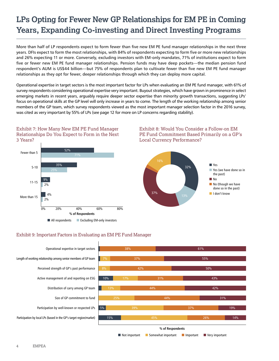## **LPs Opting for Fewer New GP Relationships for EM PE in Coming Years, Expanding Co-investing and Direct Investing Programs**

More than half of LP respondents expect to form fewer than five new EM PE fund manager relationships in the next three years. DFIs expect to form the most relationships, with 84% of respondents expecting to form five or more new relationships and 26% expecting 11 or more. Conversely, excluding investors with EM-only mandates, 71% of institutions expect to form five or fewer new EM PE fund manager relationships. Pension funds may have deep pockets—the median pension fund respondent's AUM is US\$44 billion—but 75% of respondents plan to cultivate fewer than five new EM PE fund manager relationships as they opt for fewer, deeper relationships through which they can deploy more capital.

Operational expertise in target sectors is the most important factor for LPs when evaluating an EM PE fund manager, with 61% of survey respondents considering operational expertise very important. Buyout strategies, which have grown in prominence in select emerging markets in recent years, arguably require deeper sector expertise than minority growth transactions, suggesting LPs' focus on operational skills at the GP level will only increase in years to come. The length of the working relationship among senior members of the GP team, which survey respondents viewed as the most important manager selection factor in the 2016 survey, was cited as very important by 55% of LPs (see page 12 for more on LP concerns regarding stability).



### Exhibit 9: Important Factors in Evaluating an EM PE Fund Manager





n Not important n Somewhat important n Important n Very important

Exhibit 8: Would You Consider a Follow-on EM

4 EMPEA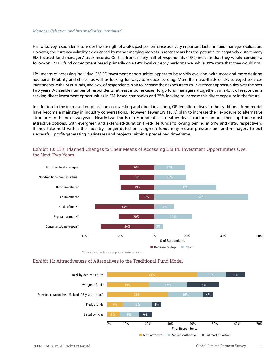#### *Manager Selection and Intermediaries, continued*

Half of survey respondents consider the strength of a GP's past performance as a very important factor in fund manager evaluation. However, the currency volatility experienced by many emerging markets in recent years has the potential to negatively distort many EM-focused fund managers' track records. On this front, nearly half of respondents (45%) indicate that they would consider a follow-on EM PE fund commitment based primarily on a GP's local currency performance, while 39% state that they would not.

LPs' means of accessing individual EM PE investment opportunities appear to be rapidly evolving, with more and more desiring additional flexibility and choice, as well as looking for ways to reduce fee drag. More than two-thirds of LPs surveyed seek coinvestments with EM PE funds, and 52% of respondents plan to increase their exposure to co-investment opportunities over the next two years. A sizeable number of respondents, at least in some cases, forgo fund managers altogether, with 43% of respondents seeking direct investment opportunities in EM-based companies and 35% looking to increase this direct exposure in the future.

In addition to the increased emphasis on co-investing and direct investing, GP-led alternatives to the traditional fund model have become a mainstay in industry conversations. However, fewer LPs (18%) plan to increase their exposure to alternative structures in the next two years. Nearly two-thirds of respondents list deal-by-deal structures among their top-three most attractive options, with evergreen and extended-duration fixed-life funds following behind at 51% and 48%, respectively. If they take hold within the industry, longer-dated or evergreen funds may reduce pressure on fund managers to exit successful, profit-generating businesses and projects within a predefined timeframe.



#### Exhibit 10: LPs' Planned Changes to Their Means of Accessing EM PE Investment Opportunities Over the Next Two Years

\*Excludes funds of funds and private markets advisors.

#### Exhibit 11: Attractiveness of Alternatives to the Traditional Fund Model

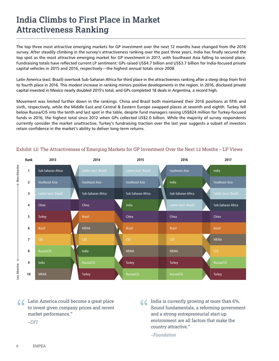## **India Climbs to First Place in Market Attractiveness Ranking**

The top three most attractive emerging markets for GP investment over the next 12 months have changed from the 2016 survey. After steadily climbing in the survey's attractiveness ranking over the past three years, India has finally secured the top spot as the most attractive emerging market for GP investment in 2017, with Southeast Asia falling to second place. Fundraising totals have reflected current LP sentiment: GPs raised US\$4.7 billion and US\$3.7 billion for India-focused private capital vehicles in 2015 and 2016, respectively—the highest annual totals since 2008.

Latin America (excl. Brazil) overtook Sub-Saharan Africa for third place in the attractiveness ranking after a steep drop from first to fourth place in 2016. This modest increase in ranking mirrors positive developments in the region. In 2016, disclosed private capital invested in Mexico nearly doubled 2015's total, and GPs completed 18 deals in Argentina, a record high.

Movement was limited further down in the rankings. China and Brazil both maintained their 2016 positions at fifth and sixth, respectively, while the Middle East and Central & Eastern Europe swapped places at seventh and eighth. Turkey fell below Russia/CIS into the tenth and last spot in the table, despite fund managers raising US\$824 million for Turkey-focused funds in 2016, the highest total since 2012 when GPs collected US\$2.0 billion. While the majority of survey respondents currently consider the market unattractive, Turkey's fundraising traction over the last year suggests a subset of investors retain confidence in the market's ability to deliver long-term returns.



#### Exhibit 12: The Attractiveness of Emerging Markets for GP Investment Over the Next 12 Months – LP Views

Latin America could become a great place to invest given company prices and recent market performance."

Come a great place to invest given company prices and recent market performance."<br>
The same state of the sound fundamentals, a reforming governme and a strong entrepreneurial start-up and a strong entrepreneurial start-up Sound fundamentals, a reforming government and a strong entrepreneurial start-up environment are all factors that make the country attractive."

*–Foundation*

*–DFI*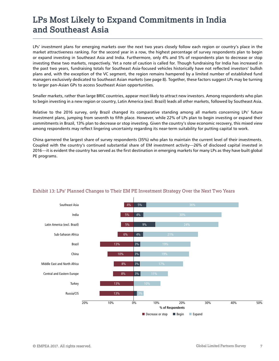## **LPs Most Likely to Expand Commitments in India and Southeast Asia**

LPs' investment plans for emerging markets over the next two years closely follow each region or country's place in the market attractiveness ranking. For the second year in a row, the highest percentage of survey respondents plan to begin or expand investing in Southeast Asia and India. Furthermore, only 4% and 5% of respondents plan to decrease or stop investing these two markets, respectively. Yet a note of caution is called for. Though fundraising for India has increased in the past two years, fundraising totals for Southeast Asia-focused vehicles historically have not reflected investors' bullish plans and, with the exception of the VC segment, the region remains hampered by a limited number of established fund managers exclusively dedicated to Southeast Asian markets (see page 8). Together, these factors suggest LPs may be turning to larger pan-Asian GPs to access Southeast Asian opportunities.

Smaller markets, rather than large BRIC countries, appear most likely to attract new investors. Among respondents who plan to begin investing in a new region or country, Latin America (excl. Brazil) leads all other markets, followed by Southeast Asia.

Relative to the 2016 survey, only Brazil changed its comparative standing among all markets concerning LPs' future investment plans, jumping from seventh to fifth place. However, while 22% of LPs plan to begin investing or expand their commitments in Brazil, 13% plan to decrease or stop investing. Given the country's slow economic recovery, this mixed view among respondents may reflect lingering uncertainty regarding its near-term suitability for putting capital to work.

China garnered the largest share of survey respondents (35%) who plan to maintain the current level of their investments. Coupled with the country's continued substantial share of EM investment activity—26% of disclosed capital invested in 2016—it is evident the country has served as the first destination in emerging markets for many LPs as they have built global PE programs.



#### Exhibit 13: LPs' Planned Changes to Their EM PE Investment Strategy Over the Next Two Years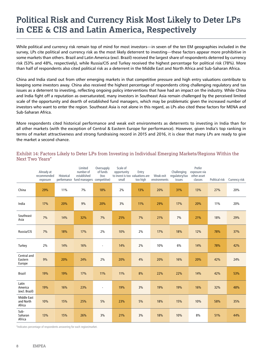## **Political Risk and Currency Risk Most Likely to Deter LPs in CEE & CIS and Latin America, Respectively**

While political and currency risk remain top of mind for most investors—in seven of the ten EM geographies included in the survey, LPs cite political and currency risk as the most likely deterrent to investing—these factors appear more prohibitive in some markets than others. Brazil and Latin America (excl. Brazil) received the largest share of respondents deterred by currency risk (53% and 48%, respectively), while Russia/CIS and Turkey received the highest percentage for political risk (78%). More than half of respondents also cited political risk as a deterrent in the Middle East and North Africa and Sub-Saharan Africa.

China and India stand out from other emerging markets in that competitive pressure and high entry valuations contribute to keeping some investors away. China also received the highest percentage of respondents citing challenging regulatory and tax issues as a deterrent to investing, reflecting ongoing policy interventions that have had an impact on the industry. While China and India fight off a reputation as oversaturated, many investors in Southeast Asia remain challenged by the perceived limited scale of the opportunity and dearth of established fund managers, which may be problematic given the increased number of investors who want to enter the region. Southeast Asia is not alone in this regard, as LPs also cited these factors for MENA and Sub-Saharan Africa.

More respondents cited historical performance and weak exit environments as deterrents to investing in India than for all other markets (with the exception of Central & Eastern Europe for performance). However, given India's top ranking in terms of market attractiveness and strong fundraising record in 2015 and 2016, it is clear that many LPs are ready to give the market a second chance.

#### Exhibit 14: Factors Likely to Deter LPs from Investing in Individual Emerging Markets/Regions Within the Next Two Years\*

|                                    | Already at<br>recommended<br>exposure | Historical | Limited<br>number of<br>established<br>performance fund managers competitive) | Oversupply<br>of funds<br>(too | Scale of<br>opportunity<br>small | Entry<br>to invest is too valuations are<br>too high | Weak exit<br>environments | Challenging<br>regulatory/tax<br>issues | Prefer<br>exposure via<br>other asset<br>classes | Political risk | Currency risk |
|------------------------------------|---------------------------------------|------------|-------------------------------------------------------------------------------|--------------------------------|----------------------------------|------------------------------------------------------|---------------------------|-----------------------------------------|--------------------------------------------------|----------------|---------------|
| China                              | 29%                                   | 11%        | 7%                                                                            | 18%                            | 2%                               | 13%                                                  | 20%                       | 31%                                     | 13%                                              | 27%            | 20%           |
| India                              | 17%                                   | 20%        | 9%                                                                            | 20%                            | 3%                               | 11%                                                  | 29%                       | 17%                                     | 20%                                              | 11%            | 20%           |
| Southeast<br>Asia                  | 7%                                    | 14%        | 32%                                                                           | 7%                             | 25%                              | 7%                                                   | 21%                       | 7%                                      | 21%                                              | 18%            | 29%           |
| Russia/CIS                         | 7%                                    | 18%        | 17%                                                                           | 2%                             | 10%                              | 2%                                                   | 17%                       | 18%                                     | 12%                                              | 78%            | 37%           |
| Turkey                             | 2%                                    | 14%        | 16%                                                                           | ÷,                             | 14%                              | 2%                                                   | 10%                       | 6%                                      | 14%                                              | 78%            | 42%           |
| Central and<br>Eastern<br>Europe   | 9%                                    | 20%        | 24%                                                                           | 2%                             | 20%                              | 4%                                                   | 20%                       | 16%                                     | 20%                                              | 42%            | 24%           |
| <b>Brazil</b>                      | 19%                                   | 19%        | 17%                                                                           | 11%                            | 11%                              | 8%                                                   | 22%                       | 22%                                     | 14%                                              | 42%            | 53%           |
| Latin<br>America<br>(excl. Brazil) | 19%                                   | 16%        | 23%                                                                           |                                | 19%                              | 3%                                                   | 19%                       | 19%                                     | 16%                                              | 32%            | 48%           |
| Middle East<br>and North<br>Africa | 10%                                   | 15%        | 25%                                                                           | 5%                             | 23%                              | 5%                                                   | 18%                       | 15%                                     | 10%                                              | 58%            | 35%           |
| Sub-<br>Saharan<br>Africa          | 13%                                   | 15%        | 26%                                                                           | 3%                             | 21%                              | 3%                                                   | 18%                       | 10%                                     | 8%                                               | 51%            | 44%           |

\*Indicates percentage of respondents answering for each region/market.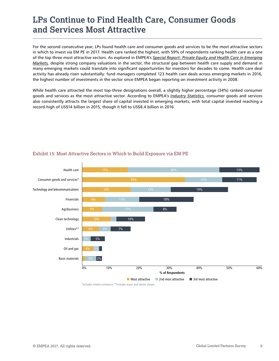## **LPs Continue to Find Health Care, Consumer Goods and Services Most Attractive**

For the second consecutive year, LPs found health care and consumer goods and services to be the most attractive sectors in which to invest via EM PE in 2017. Health care ranked the highest, with 59% of respondents ranking health care as a one of the top three most attractive sectors. As explored in EMPEA's *[Special Report: Private Equity and Health Care in Emerging](http://empea.org/research/publications/private-equity-and-health-care-in-emerging-markets) [Markets](http://empea.org/research/publications/private-equity-and-health-care-in-emerging-markets),* despite strong company valuations in the sector, the structural gap between health care supply and demand in many emerging markets could translate into significant opportunities for investors for decades to come. Health care deal activity has already risen substantially: fund managers completed 123 health care deals across emerging markets in 2016, the highest number of investments in the sector since EMPEA began reporting on investment activity in 2008.

While health care attracted the most top-three designations overall, a slightly higher percentage (34%) ranked consumer goods and services as the most attractive sector. According to EMPEA's *[Industry Statistics,](http://empea.org/research/data-and-statistics/)* consumer goods and services also consistently attracts the largest share of capital invested in emerging markets, with total capital invested reaching a record-high of US\$14 billion in 2015, though it fell to US\$8.4 billion in 2016.



#### Exhibit 15: Most Attractive Sectors in Which to Build Exposure via EM PE

\*Includes retail/e-commerce. \*\*Includes water and electric power.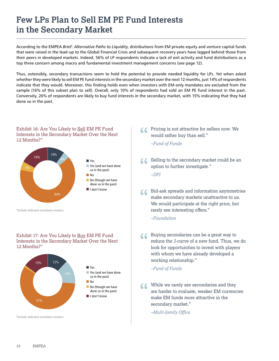## **Few LPs Plan to Sell EM PE Fund Interests in the Secondary Market**

According to the EMPEA *Brief: Alternative Paths to Liquidity*, distributions from EM private equity and venture capital funds that were raised in the lead-up to the Global Financial Crisis and subsequent recovery years have lagged behind those from their peers in developed markets. Indeed, 56% of LP respondents indicate a lack of exit activity and fund distributions as a top three concern among macro and fundamental investment management concerns (see page 12).

Thus, ostensibly, secondary transactions seem to hold the potential to provide needed liquidity for LPs. Yet when asked whether they were likely to sell EM PE fund interests in the secondary market over the next 12 months, just 14% of respondents indicate that they would. Moreover, this finding holds even when investors with EM-only mandates are excluded from the sample (16% of this subset plan to sell). Overall, only 10% of respondents had sold an EM PE fund interest in the past. Conversely, 26% of respondents are likely to buy fund interests in the secondary market, with 15% indicating that they had done so in the past.

#### Exhibit 16: Are You Likely to Sell EM PE Fund Interests in the Secondary Market Over the Next 12 Months?\*



\*Excludes dedicated secondaries investors.

#### Exhibit 17: Are You Likely to Buy EM PE Fund Interests in the Secondary Market Over the Next 12 Months?\*



\*Excludes dedicated secondaries investors.

**66** Pricing is not attractive for sellers now. We would rather buy than sell."<br>-Fund of Funds would rather buy than sell."

*–Fund of Funds*

Selling to the secondary market could be an option to further investigate." "

*–DFI*

Bid-ask spreads and information asymmetries make secondary markets unattractive to us. We would participate at the right price, but rarely see interesting offers."  $\epsilon$ 

*–Foundation*

Buying secondaries can be a great way to reduce the J-curve of a new fund. Thus, we do look for opportunities to invest with players with whom we have already developed a working relationship."  $\epsilon$ 

#### *–Fund of Funds*

While we rarely see secondaries and they are harder to evaluate, weaker EM currence make EM funds more attractive in the are harder to evaluate, weaker EM currencies make EM funds more attractive in the secondary market."

*–Multi-family Office*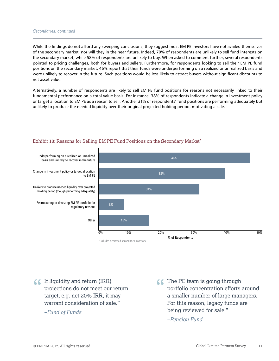#### *Secondaries, continued*

While the findings do not afford any sweeping conclusions, they suggest most EM PE investors have not availed themselves of the secondary market, nor will they in the near future. Indeed, 70% of respondents are unlikely to sell fund interests on the secondary market, while 58% of respondents are unlikely to buy. When asked to comment further, several respondents pointed to pricing challenges, both for buyers and sellers. Furthermore, for respondents looking to sell their EM PE fund positions on the secondary market, 46% report that their funds were underperforming on a realized or unrealized basis and were unlikely to recover in the future. Such positions would be less likely to attract buyers without significant discounts to net asset value.

Alternatively, a number of respondents are likely to sell EM PE fund positions for reasons not necessarily linked to their fundamental performance on a total value basis. For instance, 38% of respondents indicate a change in investment policy or target allocation to EM PE as a reason to sell. Another 31% of respondents' fund positions are performing adequately but unlikely to produce the needed liquidity over their original projected holding period, motivating a sale.



#### Exhibit 18: Reasons for Selling EM PE Fund Positions on the Secondary Market\*

If liquidity and return (IRR) projections do not meet our return target, e.g. net 20% IRR, it may warrant consideration of sale." " The PE team is going through

*–Fund of Funds* 

portfolio concentration efforts around a smaller number of large managers. For this reason, legacy funds are being reviewed for sale." C The PE team is going through

*–Pension Fund*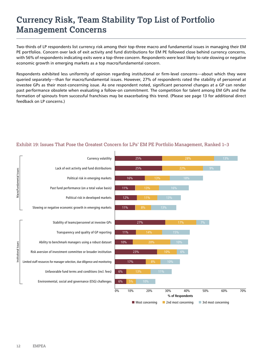## **Currency Risk, Team Stability Top List of Portfolio Management Concerns**

Two-thirds of LP respondents list currency risk among their top-three macro and fundamental issues in managing their EM PE portfolios. Concern over lack of exit activity and fund distributions for EM PE followed close behind currency concerns, with 56% of respondents indicating exits were a top-three concern. Respondents were least likely to rate slowing or negative economic growth in emerging markets as a top macro/fundamental concern.

Respondents exhibited less uniformity of opinion regarding institutional or firm-level concerns—about which they were queried separately—than for macro/fundamental issues. However, 27% of respondents rated the stability of personnel at investee GPs as their most-concerning issue. As one respondent noted, significant personnel changes at a GP can render past performance obsolete when evaluating a follow-on commitment. The competition for talent among EM GPs and the formation of spinouts from successful franchises may be exacerbating this trend. (Please see page 13 for additional direct feedback on LP concerns.)



#### Exhibit 19: Issues That Pose the Greatest Concern for LPs' EM PE Portfolio Management, Ranked 1–3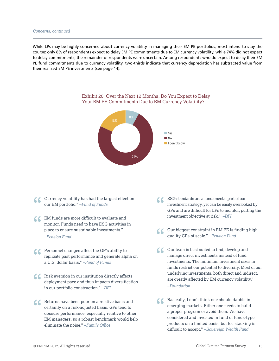#### *Concerns, continued*

While LPs may be highly concerned about currency volatility in managing their EM PE portfolios, most intend to stay the course: only 8% of respondents expect to delay EM PE commitments due to EM currency volatility, while 74% did not expect to delay commitments; the remainder of respondents were uncertain. Among respondents who do expect to delay their EM PE fund commitments due to currency volatility, two-thirds indicate that currency depreciation has subtracted value from their realized EM PE investments (see page 14).



#### Exhibit 20: Over the Next 12 Months, Do You Expect to Delay Your EM PE Commitments Due to EM Currency Volatility?

- Currency volatility has had the largest effect on<br>our EM portfolio."  $-Fund$  of<br>  $Funds$ our EM portfolio." *–Fund of Funds*
- COM funds are more difficult to evaluate and monitor. Funds need to have ESG activities place to ensure sustainable investments." monitor. Funds need to have ESG activities in place to ensure sustainable investments." *–Pension Fund*
- C Personnel changes affect the GP's ability to<br>
replicate past performance and generate alpha on<br>
a U.S. dollar basis."  $-Fund$  of Funds replicate past performance and generate alpha on a U.S. dollar basis." *–Fund of Funds*
- $\bullet$  Risk aversion in our institution directly affects deployment pace and thus impacts diversificati in our portfolio construction."  $-DFI$ deployment pace and thus impacts diversification in our portfolio construction." *–DFI*
- **CONFIGURER IS A RET ALL STARK CONFIDENT** CHERATION OF A PISCOLE OF A PISCOLE PROTOCOLE OF A PISCOLE OF A PISCOLE OF A PISCOLE OF A PISCOLE OF A PISCOLE OF A PISCOLE OF A PISCOLE OF A PISCOLE OF A PISCOLE OF A PISCOLE OF A certainly on a risk-adjusted basis. GPs tend to obscure performance, especially relative to other EM managers, so a robust benchmark would help eliminate the noise." *–Family Office*
- ESG standards are a fundamental part of our investment strategy, yet can be easily overlooked by GPs and are difficult for LPs to monitor, putting the investment objective at risk." *–DFI* "
- Our biggest constraint in EM PE is finding high quality GPs of scale." *–Pension Fund* "
- Our team is best suited to find, develop and manage direct investments instead of fund investments. The minimum investment sizes in funds restrict our potential to diversify. Most of our underlying investments, both direct and indirect, are greatly affected by EM currency volatility." *–Foundation*
- Basically, I don't think one should dabble in emerging markets. Either one needs to build a proper program or avoid them. We have considered and invested in fund of funds-type products on a limited basis, but fee stacking is difficult to accept." *–Sovereign Wealth Fund* "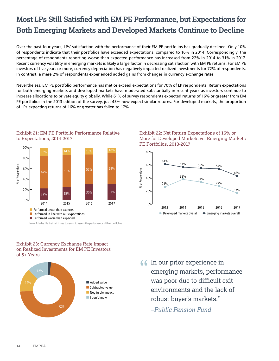## **Most LPs Still Satisfied with EM PE Performance, but Expectations for Both Emerging Markets and Developed Markets Continue to Decline**

Over the past four years, LPs' satisfaction with the performance of their EM PE portfolios has gradually declined. Only 10% of respondents indicate that their portfolios have exceeded expectations, compared to 16% in 2014. Correspondingly, the percentage of respondents reporting worse than expected performance has increased from 22% in 2014 to 31% in 2017. Recent currency volatility in emerging markets is likely a large factor in decreasing satisfaction with EM PE returns. For EM PE investors of five years or more, currency depreciation has negatively impacted realized investments for 72% of respondents. In contrast, a mere 2% of respondents experienced added gains from changes in currency exchange rates.

Nevertheless, EM PE portfolio performance has met or exceed expectations for 70% of LP respondents. Return expectations for both emerging markets and developed markets have moderated substantially in recent years as investors continue to increase allocations to private equity globally. While 61% of survey respondents expected returns of 16% or greater from EM PE portfolios in the 2013 edition of the survey, just 43% now expect similar returns. For developed markets, the proportion of LPs expecting returns of 16% or greater has fallen to 17%.



Exhibit 21: EM PE Portfolio Performance Relative to Expectations, 2014-2017

Note: Exludes LPs that felt it was too soon to assess the performance of their portfolios.

#### Exhibit 23: Currency Exchange Rate Impact on Realized Investments for EM PE Investors of 5+ Years







**66** In our prior experience in<br>emerging markets, perform emerging markets, performance was poor due to difficult exit environments and the lack of robust buyer's markets."

*–Public Pension Fund*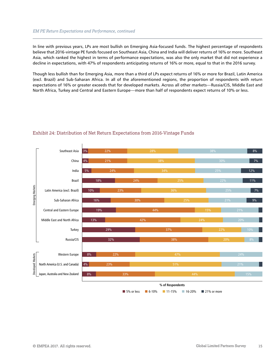#### *EM PE Return Expectations and Performance, continued*

In line with previous years, LPs are most bullish on Emerging Asia-focused funds. The highest percentage of respondents believe that 2016-vintage PE funds focused on Southeast Asia, China and India will deliver returns of 16% or more. Southeast Asia, which ranked the highest in terms of performance expectations, was also the only market that did not experience a decline in expectations, with 47% of respondents anticipating returns of 16% or more, equal to that in the 2016 survey.

Though less bullish than for Emerging Asia, more than a third of LPs expect returns of 16% or more for Brazil, Latin America (excl. Brazil) and Sub-Saharan Africa. In all of the aforementioned regions, the proportion of respondents with return expectations of 16% or greater exceeds that for developed markets. Across all other markets—Russia/CIS, Middle East and North Africa, Turkey and Central and Eastern Europe—more than half of respondents expect returns of 10% or less.



#### Exhibit 24: Distribution of Net Return Expectations from 2016-Vintage Funds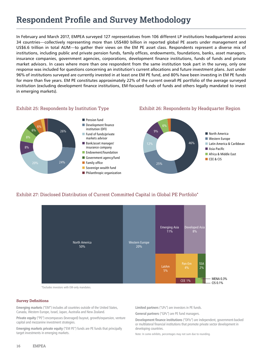## **Respondent Profile and Survey Methodology**

In February and March 2017, EMPEA surveyed 127 representatives from 106 different LP institutions headquartered across 34 countries—collectively representing more than US\$480 billion in reported global PE assets under management and US\$6.6 trillion in total AUM—to gather their views on the EM PE asset class. Respondents represent a diverse mix of institutions, including public and private pension funds, family offices, endowments, foundations, banks, asset managers, insurance companies, government agencies, corporations, development finance institutions, funds of funds and private market advisors. In cases where more than one respondent from the same institution took part in the survey, only one response was included for questions concerning an institution's current allocations and future investment plans. Just under 96% of institutions surveyed are currently invested in at least one EM PE fund, and 80% have been investing in EM PE funds for more than five years. EM PE constitutes approximately 22% of the current overall PE portfolio of the average surveyed institution (excluding development finance institutions, EM-focused funds of funds and others legally mandated to invest in emerging markets).

#### Exhibit 25: Respondents by Institution Type Exhibit 26: Respondents by Headquarter Region

6%

8%



#### Exhibit 27: Disclosed Distribution of Current Committed Capital in Global PE Portfolio\*



\*Excludes investors with EM-only mandates.

#### **Survey Definitions**

**Emerging markets** ("EM") includes all countries outside of the United States, Canada, Western Europe, Israel, Japan, Australia and New Zealand.

**Private equity** ("PE") encompasses (leveraged) buyout, growth/expansion, venture capital and mezzanine investment strategies.

**Emerging markets private equity** ("EM PE") funds are PE funds that principally target investments in emerging markets.

**Limited partners** ("LPs") are investors in PE funds.

**General partners** ("GPs") are PE fund managers.

**Development finance institutions** ("DFIs") are independent, government-backed or multilateral financial institutions that promote private sector development in developing countries.

Note: In some exhibits, percentages may not sum due to rounding.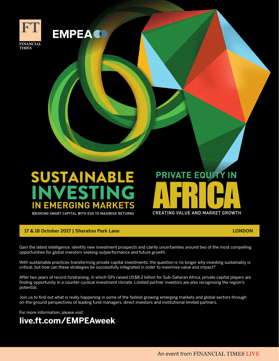

## SUSTAINABLE **IVEST EMERGING MARKET**

BRIDGING SMART CAPITAL WITH ESG TO MAXIMISE RETURNS

#### **17 & 18 October 2017 | Sheraton Park Lane LONDON**

CREATING VALUE AND MARKET GROWTH

**EMPEAC** 

# **PRIVATE EQUITY IN** CREATING VALUE AND MARKET GROWTH

Gain the latest intelligence, identify new investment prospects and clarify uncertainties around two of the most compelling opportunities for global investors seeking outperformance and future growth. y uncertainties around two of the most compelling<br>owth.

With sustainable practices transforming private capital investments, the question is no longer why investing sustainably is critical, but how can these strategies be successfully integrated in order to maximise value and impact? sus...<br>question is no longer why investing sustainably is<br>to maximise value and impact?

ے<br>After two years of record fundraising, in which GPs raised US\$8.2 billion for Sub-Saharan Africa, private capital players are finding opportunity in a counter-cyclical investment climate. Limited partner investors are also recognising the region's potential.

Join us to find out what is really happening in some of the fastest growing emerging markets and global sectors through on-the-ground perspectives of leading fund managers, direct investors and institutional limited partners.

For more information, please visit:

## **live.ft.com/EMPEAweek**